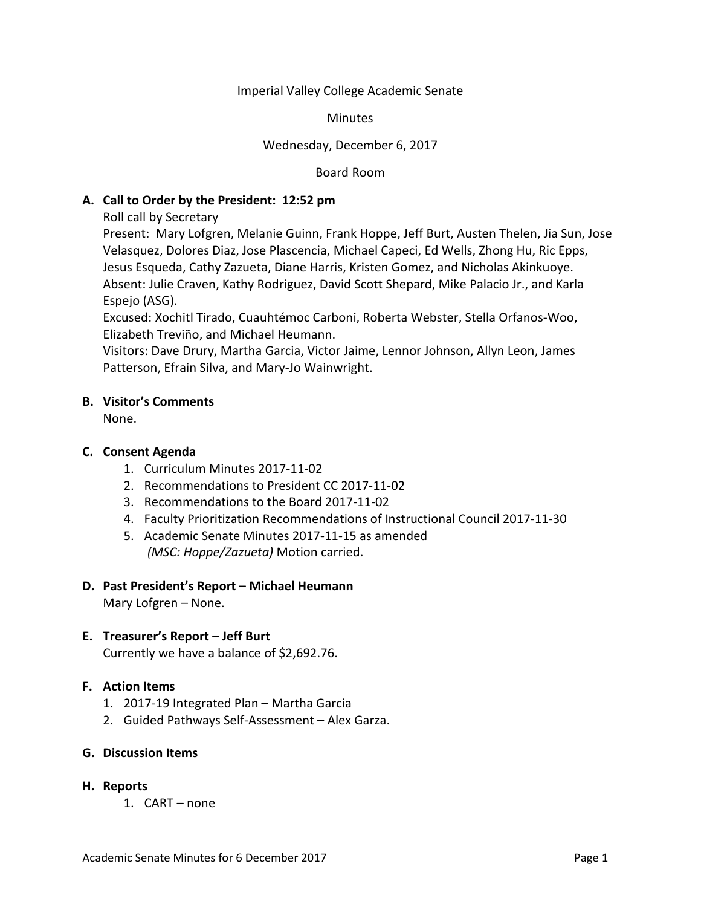Imperial Valley College Academic Senate

**Minutes** 

### Wednesday, December 6, 2017

Board Room

### **A. Call to Order by the President: 12:52 pm**

Roll call by Secretary

Present: Mary Lofgren, Melanie Guinn, Frank Hoppe, Jeff Burt, Austen Thelen, Jia Sun, Jose Velasquez, Dolores Diaz, Jose Plascencia, Michael Capeci, Ed Wells, Zhong Hu, Ric Epps, Jesus Esqueda, Cathy Zazueta, Diane Harris, Kristen Gomez, and Nicholas Akinkuoye. Absent: Julie Craven, Kathy Rodriguez, David Scott Shepard, Mike Palacio Jr., and Karla Espejo (ASG).

Excused: Xochitl Tirado, Cuauhtémoc Carboni, Roberta Webster, Stella Orfanos-Woo, Elizabeth Treviño, and Michael Heumann.

Visitors: Dave Drury, Martha Garcia, Victor Jaime, Lennor Johnson, Allyn Leon, James Patterson, Efrain Silva, and Mary-Jo Wainwright.

### **B. Visitor's Comments**

None.

## **C. Consent Agenda**

- 1. Curriculum Minutes 2017-11-02
- 2. Recommendations to President CC 2017-11-02
- 3. Recommendations to the Board 2017-11-02
- 4. Faculty Prioritization Recommendations of Instructional Council 2017-11-30
- 5. Academic Senate Minutes 2017-11-15 as amended *(MSC: Hoppe/Zazueta)* Motion carried.

### **D. Past President's Report – Michael Heumann**

Mary Lofgren – None.

### **E. Treasurer's Report – Jeff Burt**

Currently we have a balance of \$2,692.76.

### **F. Action Items**

- 1. 2017-19 Integrated Plan Martha Garcia
- 2. Guided Pathways Self-Assessment Alex Garza.
- **G. Discussion Items**
- **H. Reports**
	- 1. CART none